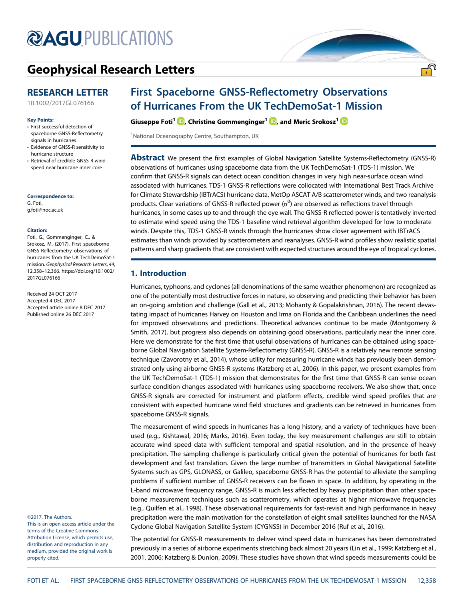# **@AGU[PUBLICATIONS](http://publications.agu.org/journals/)**

## [Geophysical Research Letters](http://onlinelibrary.wiley.com/journal/10.1002/(ISSN)1944-8007)

### RESEARCH LETTER

[10.1002/2017GL076166](http://dx.doi.org/10.1002/2017GL076166)

#### Key Points:

- First successful detection of spaceborne GNSS-Reflectometry signals in hurricanes
- Evidence of GNSS-R sensitivity to hurricane structure
- Retrieval of credible GNSS-R wind speed near hurricane inner core

#### Correspondence to:

G. Foti, [g.foti@noc.ac.uk](mailto:g.foti@noc.ac.uk)

#### Citation:

Foti, G., Gommenginger, C., & Srokosz, M. (2017). First spaceborne GNSS-Reflectometry observations of hurricanes from the UK TechDemoSat-1 mission. Geophysical Research Letters, 44, 12,358–12,366. [https://doi.org/10.1002/](https://doi.org/10.1002/2017GL076166) [2017GL076166](https://doi.org/10.1002/2017GL076166)

Received 24 OCT 2017 Accepted 4 DEC 2017 Accepted article online 8 DEC 2017 Published online 26 DEC 2017

©2017. The Authors. This is an open access article under the terms of the Creative Commons

Attribution License, which permits use, distribution and reproduction in any medium, provided the original work is properly cited.

### First Spaceborne GNSS-Reflectometry Observations of Hurricanes From the UK TechDemoSat-1 Mission

Giuseppe Foti<sup>1</sup> D[,](http://orcid.org/0000-0002-1507-2133) Christine Gommenginger<sup>1</sup> D, and Meric Srokosz<sup>1</sup> <sup>(D</sup>)

<sup>1</sup>National Oceanography Centre, Southampton, UK

**Abstract** We present the first examples of Global Navigation Satellite Systems-Reflectometry (GNSS-R) observations of hurricanes using spaceborne data from the UK TechDemoSat-1 (TDS-1) mission. We confirm that GNSS-R signals can detect ocean condition changes in very high near-surface ocean wind associated with hurricanes. TDS-1 GNSS-R reflections were collocated with International Best Track Archive for Climate Stewardship (IBTrACS) hurricane data, MetOp ASCAT A/B scatterometer winds, and two reanalysis products. Clear variations of GNSS-R reflected power ( $\sigma^0$ ) are observed as reflections travel through hurricanes, in some cases up to and through the eye wall. The GNSS-R reflected power is tentatively inverted to estimate wind speed using the TDS-1 baseline wind retrieval algorithm developed for low to moderate winds. Despite this, TDS-1 GNSS-R winds through the hurricanes show closer agreement with IBTrACS estimates than winds provided by scatterometers and reanalyses. GNSS-R wind profiles show realistic spatial patterns and sharp gradients that are consistent with expected structures around the eye of tropical cyclones.

#### 1. Introduction

Hurricanes, typhoons, and cyclones (all denominations of the same weather phenomenon) are recognized as one of the potentially most destructive forces in nature, so observing and predicting their behavior has been an on-going ambition and challenge (Gall et al., 2013; Mohanty & Gopalakrishnan, 2016). The recent devastating impact of hurricanes Harvey on Houston and Irma on Florida and the Caribbean underlines the need for improved observations and predictions. Theoretical advances continue to be made (Montgomery & Smith, 2017), but progress also depends on obtaining good observations, particularly near the inner core. Here we demonstrate for the first time that useful observations of hurricanes can be obtained using spaceborne Global Navigation Satellite System-Reflectometry (GNSS-R). GNSS-R is a relatively new remote sensing technique (Zavorotny et al., 2014), whose utility for measuring hurricane winds has previously been demonstrated only using airborne GNSS-R systems (Katzberg et al., 2006). In this paper, we present examples from the UK TechDemoSat-1 (TDS-1) mission that demonstrates for the first time that GNSS-R can sense ocean surface condition changes associated with hurricanes using spaceborne receivers. We also show that, once GNSS-R signals are corrected for instrument and platform effects, credible wind speed profiles that are consistent with expected hurricane wind field structures and gradients can be retrieved in hurricanes from spaceborne GNSS-R signals.

The measurement of wind speeds in hurricanes has a long history, and a variety of techniques have been used (e.g., Kishtawal, 2016; Marks, 2016). Even today, the key measurement challenges are still to obtain accurate wind speed data with sufficient temporal and spatial resolution, and in the presence of heavy precipitation. The sampling challenge is particularly critical given the potential of hurricanes for both fast development and fast translation. Given the large number of transmitters in Global Navigational Satellite Systems such as GPS, GLONASS, or Galileo, spaceborne GNSS-R has the potential to alleviate the sampling problems if sufficient number of GNSS-R receivers can be flown in space. In addition, by operating in the L-band microwave frequency range, GNSS-R is much less affected by heavy precipitation than other spaceborne measurement techniques such as scatterometry, which operates at higher microwave frequencies (e.g., Quilfen et al., 1998). These observational requirements for fast-revisit and high performance in heavy precipitation were the main motivation for the constellation of eight small satellites launched for the NASA Cyclone Global Navigation Satellite System (CYGNSS) in December 2016 (Ruf et al., 2016).

The potential for GNSS-R measurements to deliver wind speed data in hurricanes has been demonstrated previously in a series of airborne experiments stretching back almost 20 years (Lin et al., 1999; Katzberg et al., 2001, 2006; Katzberg & Dunion, 2009). These studies have shown that wind speeds measurements could be

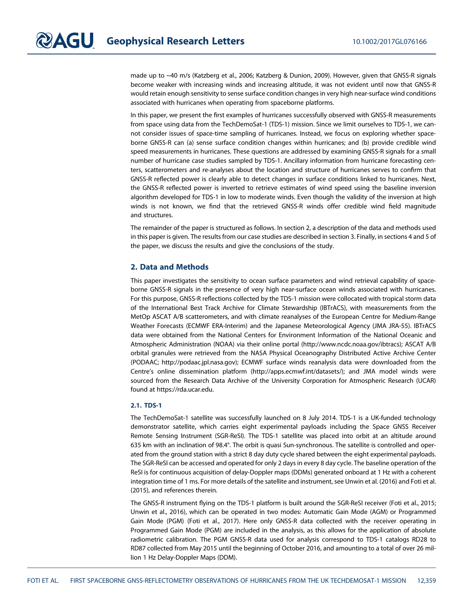made up to ~40 m/s (Katzberg et al., 2006; Katzberg & Dunion, 2009). However, given that GNSS-R signals become weaker with increasing winds and increasing altitude, it was not evident until now that GNSS-R would retain enough sensitivity to sense surface condition changes in very high near-surface wind conditions associated with hurricanes when operating from spaceborne platforms.

In this paper, we present the first examples of hurricanes successfully observed with GNSS-R measurements from space using data from the TechDemoSat-1 (TDS-1) mission. Since we limit ourselves to TDS-1, we cannot consider issues of space-time sampling of hurricanes. Instead, we focus on exploring whether spaceborne GNSS-R can (a) sense surface condition changes within hurricanes; and (b) provide credible wind speed measurements in hurricanes. These questions are addressed by examining GNSS-R signals for a small number of hurricane case studies sampled by TDS-1. Ancillary information from hurricane forecasting centers, scatterometers and re-analyses about the location and structure of hurricanes serves to confirm that GNSS-R reflected power is clearly able to detect changes in surface conditions linked to hurricanes. Next, the GNSS-R reflected power is inverted to retrieve estimates of wind speed using the baseline inversion algorithm developed for TDS-1 in low to moderate winds. Even though the validity of the inversion at high winds is not known, we find that the retrieved GNSS-R winds offer credible wind field magnitude and structures.

The remainder of the paper is structured as follows. In section 2, a description of the data and methods used in this paper is given. The results from our case studies are described in section 3. Finally, in sections 4 and 5 of the paper, we discuss the results and give the conclusions of the study.

#### 2. Data and Methods

This paper investigates the sensitivity to ocean surface parameters and wind retrieval capability of spaceborne GNSS-R signals in the presence of very high near-surface ocean winds associated with hurricanes. For this purpose, GNSS-R reflections collected by the TDS-1 mission were collocated with tropical storm data of the International Best Track Archive for Climate Stewardship (IBTrACS), with measurements from the MetOp ASCAT A/B scatterometers, and with climate reanalyses of the European Centre for Medium-Range Weather Forecasts (ECMWF ERA-Interim) and the Japanese Meteorological Agency (JMA JRA-55). IBTrACS data were obtained from the National Centers for Environment Information of the National Oceanic and Atmospheric Administration (NOAA) via their online portal [\(http://www.ncdc.noaa.gov/ibtracs](http://www.ncdc.noaa.gov/ibtracs)); ASCAT A/B orbital granules were retrieved from the NASA Physical Oceanography Distributed Active Archive Center (PODAAC; [http://podaac.jpl.nasa.gov\)](http://podaac.jpl.nasa.gov); ECMWF surface winds reanalysis data were downloaded from the Centre's online dissemination platform ([http://apps.ecmwf.int/datasets/\)](http://apps.ecmwf.int/datasets/); and JMA model winds were sourced from the Research Data Archive of the University Corporation for Atmospheric Research (UCAR) found at [https://rda.ucar.edu.](https://rda.ucar.edu)

#### 2.1. TDS-1

The TechDemoSat-1 satellite was successfully launched on 8 July 2014. TDS-1 is a UK-funded technology demonstrator satellite, which carries eight experimental payloads including the Space GNSS Receiver Remote Sensing Instrument (SGR-ReSI). The TDS-1 satellite was placed into orbit at an altitude around 635 km with an inclination of 98.4°. The orbit is quasi Sun-synchronous. The satellite is controlled and operated from the ground station with a strict 8 day duty cycle shared between the eight experimental payloads. The SGR-ReSI can be accessed and operated for only 2 days in every 8 day cycle. The baseline operation of the ReSI is for continuous acquisition of delay-Doppler maps (DDMs) generated onboard at 1 Hz with a coherent integration time of 1 ms. For more details of the satellite and instrument, see Unwin et al. (2016) and Foti et al. (2015), and references therein.

The GNSS-R instrument flying on the TDS-1 platform is built around the SGR-ReSI receiver (Foti et al., 2015; Unwin et al., 2016), which can be operated in two modes: Automatic Gain Mode (AGM) or Programmed Gain Mode (PGM) (Foti et al., 2017). Here only GNSS-R data collected with the receiver operating in Programmed Gain Mode (PGM) are included in the analysis, as this allows for the application of absolute radiometric calibration. The PGM GNSS-R data used for analysis correspond to TDS-1 catalogs RD28 to RD87 collected from May 2015 until the beginning of October 2016, and amounting to a total of over 26 million 1 Hz Delay-Doppler Maps (DDM).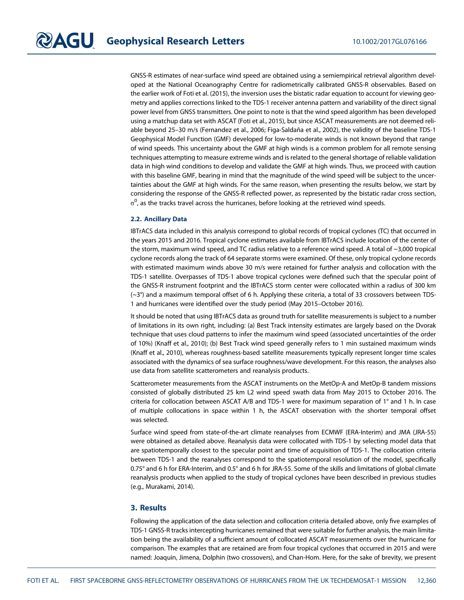GNSS-R estimates of near-surface wind speed are obtained using a semiempirical retrieval algorithm developed at the National Oceanography Centre for radiometrically calibrated GNSS-R observables. Based on the earlier work of Foti et al. (2015), the inversion uses the bistatic radar equation to account for viewing geometry and applies corrections linked to the TDS-1 receiver antenna pattern and variability of the direct signal power level from GNSS transmitters. One point to note is that the wind speed algorithm has been developed using a matchup data set with ASCAT (Foti et al., 2015), but since ASCAT measurements are not deemed reliable beyond 25–30 m/s (Fernandez et al., 2006; Figa-Saldaña et al., 2002), the validity of the baseline TDS-1 Geophysical Model Function (GMF) developed for low-to-moderate winds is not known beyond that range of wind speeds. This uncertainty about the GMF at high winds is a common problem for all remote sensing techniques attempting to measure extreme winds and is related to the general shortage of reliable validation data in high wind conditions to develop and validate the GMF at high winds. Thus, we proceed with caution with this baseline GMF, bearing in mind that the magnitude of the wind speed will be subject to the uncertainties about the GMF at high winds. For the same reason, when presenting the results below, we start by considering the response of the GNSS-R reflected power, as represented by the bistatic radar cross section,  $\sigma^0$ , as the tracks travel across the hurricanes, before looking at the retrieved wind speeds.

#### 2.2. Ancillary Data

IBTrACS data included in this analysis correspond to global records of tropical cyclones (TC) that occurred in the years 2015 and 2016. Tropical cyclone estimates available from IBTrACS include location of the center of the storm, maximum wind speed, and TC radius relative to a reference wind speed. A total of ~3,000 tropical cyclone records along the track of 64 separate storms were examined. Of these, only tropical cyclone records with estimated maximum winds above 30 m/s were retained for further analysis and collocation with the TDS-1 satellite. Overpasses of TDS-1 above tropical cyclones were defined such that the specular point of the GNSS-R instrument footprint and the IBTrACS storm center were collocated within a radius of 300 km (~3°) and a maximum temporal offset of 6 h. Applying these criteria, a total of 33 crossovers between TDS-1 and hurricanes were identified over the study period (May 2015–October 2016).

It should be noted that using IBTrACS data as ground truth for satellite measurements is subject to a number of limitations in its own right, including: (a) Best Track intensity estimates are largely based on the Dvorak technique that uses cloud patterns to infer the maximum wind speed (associated uncertainties of the order of 10%) (Knaff et al., 2010); (b) Best Track wind speed generally refers to 1 min sustained maximum winds (Knaff et al., 2010), whereas roughness-based satellite measurements typically represent longer time scales associated with the dynamics of sea surface roughness/wave development. For this reason, the analyses also use data from satellite scatterometers and reanalysis products.

Scatterometer measurements from the ASCAT instruments on the MetOp-A and MetOp-B tandem missions consisted of globally distributed 25 km L2 wind speed swath data from May 2015 to October 2016. The criteria for collocation between ASCAT A/B and TDS-1 were for maximum separation of 1° and 1 h. In case of multiple collocations in space within 1 h, the ASCAT observation with the shorter temporal offset was selected.

Surface wind speed from state-of-the-art climate reanalyses from ECMWF (ERA-Interim) and JMA (JRA-55) were obtained as detailed above. Reanalysis data were collocated with TDS-1 by selecting model data that are spatiotemporally closest to the specular point and time of acquisition of TDS-1. The collocation criteria between TDS-1 and the reanalyses correspond to the spatiotemporal resolution of the model, specifically 0.75° and 6 h for ERA-Interim, and 0.5° and 6 h for JRA-55. Some of the skills and limitations of global climate reanalysis products when applied to the study of tropical cyclones have been described in previous studies (e.g., Murakami, 2014).

#### 3. Results

Following the application of the data selection and collocation criteria detailed above, only five examples of TDS-1 GNSS-R tracks intercepting hurricanes remained that were suitable for further analysis, the main limitation being the availability of a sufficient amount of collocated ASCAT measurements over the hurricane for comparison. The examples that are retained are from four tropical cyclones that occurred in 2015 and were named: Joaquin, Jimena, Dolphin (two crossovers), and Chan-Hom. Here, for the sake of brevity, we present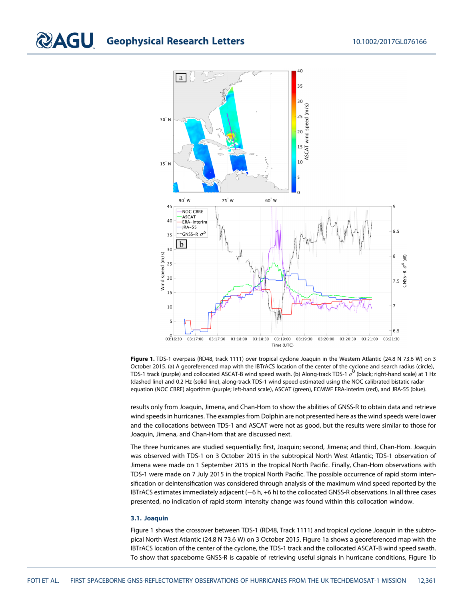## **CAGU** Geophysical Research Letters 10.1002/2017GL076166



Figure 1. TDS-1 overpass (RD48, track 1111) over tropical cyclone Joaquin in the Western Atlantic (24.8 N 73.6 W) on 3 October 2015. (a) A georeferenced map with the IBTrACS location of the center of the cyclone and search radius (circle), TDS-1 track (purple) and collocated ASCAT-B wind speed swath. (b) Along-track TDS-1  $\sigma^0$  (black; right-hand scale) at 1 Hz (dashed line) and 0.2 Hz (solid line), along-track TDS-1 wind speed estimated using the NOC calibrated bistatic radar equation (NOC CBRE) algorithm (purple; left-hand scale), ASCAT (green), ECMWF ERA-interim (red), and JRA-55 (blue).

results only from Joaquin, Jimena, and Chan-Hom to show the abilities of GNSS-R to obtain data and retrieve wind speeds in hurricanes. The examples from Dolphin are not presented here as the wind speeds were lower and the collocations between TDS-1 and ASCAT were not as good, but the results were similar to those for Joaquin, Jimena, and Chan-Hom that are discussed next.

The three hurricanes are studied sequentially: first, Joaquin; second, Jimena; and third, Chan-Hom. Joaquin was observed with TDS-1 on 3 October 2015 in the subtropical North West Atlantic; TDS-1 observation of Jimena were made on 1 September 2015 in the tropical North Pacific. Finally, Chan-Hom observations with TDS-1 were made on 7 July 2015 in the tropical North Pacific. The possible occurrence of rapid storm intensification or deintensification was considered through analysis of the maximum wind speed reported by the IBTrACS estimates immediately adjacent (-6 h, +6 h) to the collocated GNSS-R observations. In all three cases presented, no indication of rapid storm intensity change was found within this collocation window.

#### 3.1. Joaquin

Figure 1 shows the crossover between TDS-1 (RD48, Track 1111) and tropical cyclone Joaquin in the subtropical North West Atlantic (24.8 N 73.6 W) on 3 October 2015. Figure 1a shows a georeferenced map with the IBTrACS location of the center of the cyclone, the TDS-1 track and the collocated ASCAT-B wind speed swath. To show that spaceborne GNSS-R is capable of retrieving useful signals in hurricane conditions, Figure 1b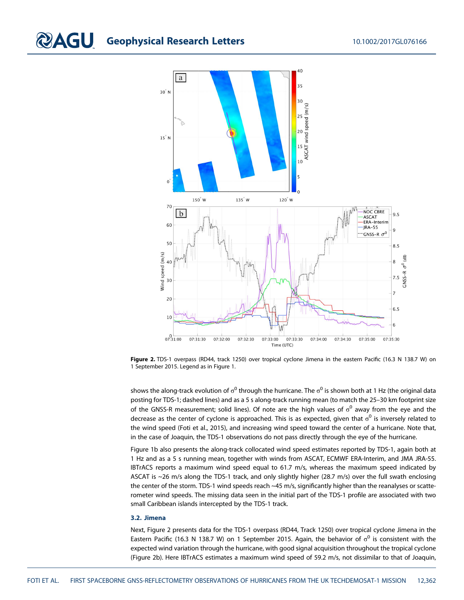

Figure 2. TDS-1 overpass (RD44, track 1250) over tropical cyclone Jimena in the eastern Pacific (16.3 N 138.7 W) on 1 September 2015. Legend as in Figure 1.

shows the along-track evolution of  $\sigma^0$  through the hurricane. The  $\sigma^0$  is shown both at 1 Hz (the original data posting for TDS-1; dashed lines) and as a 5 s along-track running mean (to match the 25–30 km footprint size of the GNSS-R measurement; solid lines). Of note are the high values of  $\sigma^0$  away from the eye and the decrease as the center of cyclone is approached. This is as expected, given that  $\sigma^0$  is inversely related to the wind speed (Foti et al., 2015), and increasing wind speed toward the center of a hurricane. Note that, in the case of Joaquin, the TDS-1 observations do not pass directly through the eye of the hurricane.

Figure 1b also presents the along-track collocated wind speed estimates reported by TDS-1, again both at 1 Hz and as a 5 s running mean, together with winds from ASCAT, ECMWF ERA-Interim, and JMA JRA-55. IBTrACS reports a maximum wind speed equal to 61.7 m/s, whereas the maximum speed indicated by ASCAT is ~26 m/s along the TDS-1 track, and only slightly higher (28.7 m/s) over the full swath enclosing the center of the storm. TDS-1 wind speeds reach ~45 m/s, significantly higher than the reanalyses or scatterometer wind speeds. The missing data seen in the initial part of the TDS-1 profile are associated with two small Caribbean islands intercepted by the TDS-1 track.

#### 3.2. Jimena

Next, Figure 2 presents data for the TDS-1 overpass (RD44, Track 1250) over tropical cyclone Jimena in the Eastern Pacific (16.3 N 138.7 W) on 1 September 2015. Again, the behavior of  $\sigma^0$  is consistent with the expected wind variation through the hurricane, with good signal acquisition throughout the tropical cyclone (Figure 2b). Here IBTrACS estimates a maximum wind speed of 59.2 m/s, not dissimilar to that of Joaquin,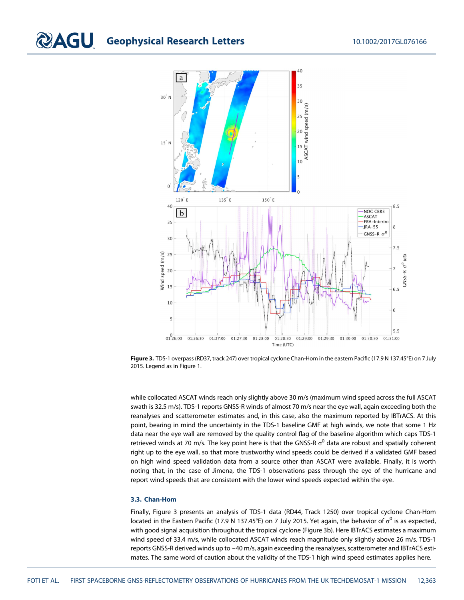

Figure 3. TDS-1 overpass (RD37, track 247) over tropical cyclone Chan-Hom in the eastern Pacific (17.9 N 137.45°E) on 7 July 2015. Legend as in Figure 1.

while collocated ASCAT winds reach only slightly above 30 m/s (maximum wind speed across the full ASCAT swath is 32.5 m/s). TDS-1 reports GNSS-R winds of almost 70 m/s near the eye wall, again exceeding both the reanalyses and scatterometer estimates and, in this case, also the maximum reported by IBTrACS. At this point, bearing in mind the uncertainty in the TDS-1 baseline GMF at high winds, we note that some 1 Hz data near the eye wall are removed by the quality control flag of the baseline algorithm which caps TDS-1 retrieved winds at 70 m/s. The key point here is that the GNSS-R  $\sigma^0$  data are robust and spatially coherent right up to the eye wall, so that more trustworthy wind speeds could be derived if a validated GMF based on high wind speed validation data from a source other than ASCAT were available. Finally, it is worth noting that, in the case of Jimena, the TDS-1 observations pass through the eye of the hurricane and report wind speeds that are consistent with the lower wind speeds expected within the eye.

#### 3.3. Chan-Hom

Finally, Figure 3 presents an analysis of TDS-1 data (RD44, Track 1250) over tropical cyclone Chan-Hom located in the Eastern Pacific (17.9 N 137.45°E) on 7 July 2015. Yet again, the behavior of  $\sigma^0$  is as expected, with good signal acquisition throughout the tropical cyclone (Figure 3b). Here IBTrACS estimates a maximum wind speed of 33.4 m/s, while collocated ASCAT winds reach magnitude only slightly above 26 m/s. TDS-1 reports GNSS-R derived winds up to ~40 m/s, again exceeding the reanalyses, scatterometer and IBTrACS estimates. The same word of caution about the validity of the TDS-1 high wind speed estimates applies here.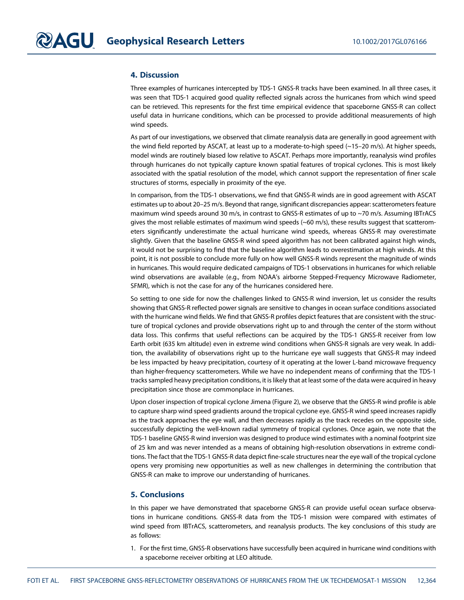#### 4. Discussion

Three examples of hurricanes intercepted by TDS-1 GNSS-R tracks have been examined. In all three cases, it was seen that TDS-1 acquired good quality reflected signals across the hurricanes from which wind speed can be retrieved. This represents for the first time empirical evidence that spaceborne GNSS-R can collect useful data in hurricane conditions, which can be processed to provide additional measurements of high wind speeds.

As part of our investigations, we observed that climate reanalysis data are generally in good agreement with the wind field reported by ASCAT, at least up to a moderate-to-high speed (~15–20 m/s). At higher speeds, model winds are routinely biased low relative to ASCAT. Perhaps more importantly, reanalysis wind profiles through hurricanes do not typically capture known spatial features of tropical cyclones. This is most likely associated with the spatial resolution of the model, which cannot support the representation of finer scale structures of storms, especially in proximity of the eye.

In comparison, from the TDS-1 observations, we find that GNSS-R winds are in good agreement with ASCAT estimates up to about 20–25 m/s. Beyond that range, significant discrepancies appear: scatterometers feature maximum wind speeds around 30 m/s, in contrast to GNSS-R estimates of up to ~70 m/s. Assuming IBTrACS gives the most reliable estimates of maximum wind speeds (~60 m/s), these results suggest that scatterometers significantly underestimate the actual hurricane wind speeds, whereas GNSS-R may overestimate slightly. Given that the baseline GNSS-R wind speed algorithm has not been calibrated against high winds, it would not be surprising to find that the baseline algorithm leads to overestimation at high winds. At this point, it is not possible to conclude more fully on how well GNSS-R winds represent the magnitude of winds in hurricanes. This would require dedicated campaigns of TDS-1 observations in hurricanes for which reliable wind observations are available (e.g., from NOAA's airborne Stepped-Frequency Microwave Radiometer, SFMR), which is not the case for any of the hurricanes considered here.

So setting to one side for now the challenges linked to GNSS-R wind inversion, let us consider the results showing that GNSS-R reflected power signals are sensitive to changes in ocean surface conditions associated with the hurricane wind fields. We find that GNSS-R profiles depict features that are consistent with the structure of tropical cyclones and provide observations right up to and through the center of the storm without data loss. This confirms that useful reflections can be acquired by the TDS-1 GNSS-R receiver from low Earth orbit (635 km altitude) even in extreme wind conditions when GNSS-R signals are very weak. In addition, the availability of observations right up to the hurricane eye wall suggests that GNSS-R may indeed be less impacted by heavy precipitation, courtesy of it operating at the lower L-band microwave frequency than higher-frequency scatterometers. While we have no independent means of confirming that the TDS-1 tracks sampled heavy precipitation conditions, it is likely that at least some of the data were acquired in heavy precipitation since those are commonplace in hurricanes.

Upon closer inspection of tropical cyclone Jimena (Figure 2), we observe that the GNSS-R wind profile is able to capture sharp wind speed gradients around the tropical cyclone eye. GNSS-R wind speed increases rapidly as the track approaches the eye wall, and then decreases rapidly as the track recedes on the opposite side, successfully depicting the well-known radial symmetry of tropical cyclones. Once again, we note that the TDS-1 baseline GNSS-R wind inversion was designed to produce wind estimates with a nominal footprint size of 25 km and was never intended as a means of obtaining high-resolution observations in extreme conditions. The fact that the TDS-1 GNSS-R data depict fine-scale structures near the eye wall of the tropical cyclone opens very promising new opportunities as well as new challenges in determining the contribution that GNSS-R can make to improve our understanding of hurricanes.

#### 5. Conclusions

In this paper we have demonstrated that spaceborne GNSS-R can provide useful ocean surface observations in hurricane conditions. GNSS-R data from the TDS-1 mission were compared with estimates of wind speed from IBTrACS, scatterometers, and reanalysis products. The key conclusions of this study are as follows:

1. For the first time, GNSS-R observations have successfully been acquired in hurricane wind conditions with a spaceborne receiver orbiting at LEO altitude.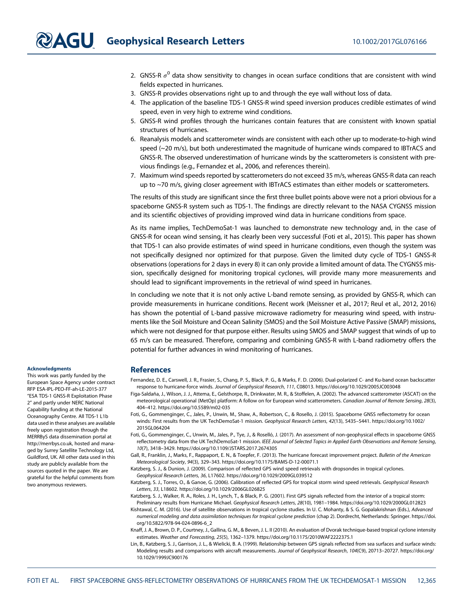- 2. GNSS-R  $\sigma^0$  data show sensitivity to changes in ocean surface conditions that are consistent with wind fields expected in hurricanes.
- 3. GNSS-R provides observations right up to and through the eye wall without loss of data.
- 4. The application of the baseline TDS-1 GNSS-R wind speed inversion produces credible estimates of wind speed, even in very high to extreme wind conditions.
- 5. GNSS-R wind profiles through the hurricanes contain features that are consistent with known spatial structures of hurricanes.
- 6. Reanalysis models and scatterometer winds are consistent with each other up to moderate-to-high wind speed (~20 m/s), but both underestimated the magnitude of hurricane winds compared to IBTrACS and GNSS-R. The observed underestimation of hurricane winds by the scatterometers is consistent with previous findings (e.g., Fernandez et al., 2006, and references therein).
- 7. Maximum wind speeds reported by scatterometers do not exceed 35 m/s, whereas GNSS-R data can reach up to ~70 m/s, giving closer agreement with IBTrACS estimates than either models or scatterometers.

The results of this study are significant since the first three bullet points above were not a priori obvious for a spaceborne GNSS-R system such as TDS-1. The findings are directly relevant to the NASA CYGNSS mission and its scientific objectives of providing improved wind data in hurricane conditions from space.

As its name implies, TechDemoSat-1 was launched to demonstrate new technology and, in the case of GNSS-R for ocean wind sensing, it has clearly been very successful (Foti et al., 2015). This paper has shown that TDS-1 can also provide estimates of wind speed in hurricane conditions, even though the system was not specifically designed nor optimized for that purpose. Given the limited duty cycle of TDS-1 GNSS-R observations (operations for 2 days in every 8) it can only provide a limited amount of data. The CYGNSS mission, specifically designed for monitoring tropical cyclones, will provide many more measurements and should lead to significant improvements in the retrieval of wind speed in hurricanes.

In concluding we note that it is not only active L-band remote sensing, as provided by GNSS-R, which can provide measurements in hurricane conditions. Recent work (Meissner et al., 2017; Reul et al., 2012, 2016) has shown the potential of L-band passive microwave radiometry for measuring wind speed, with instruments like the Soil Moisture and Ocean Salinity (SMOS) and the Soil Moisture Active Passive (SMAP) missions, which were not designed for that purpose either. Results using SMOS and SMAP suggest that winds of up to 65 m/s can be measured. Therefore, comparing and combining GNSS-R with L-band radiometry offers the potential for further advances in wind monitoring of hurricanes.

#### References

- Fernandez, D. E., Carswell, J. R., Frasier, S., Chang, P. S., Black, P. G., & Marks, F. D. (2006). Dual-polarized C- and Ku-band ocean backscatter response to hurricane-force winds. Journal of Geophysical Research, 111, C08013.<https://doi.org/10.1029/2005JC003048>
- Figa-Saldaña, J., Wilson, J. J., Attema, E., Gelsthorpe, R., Drinkwater, M. R., & Stoffelen, A. (2002). The advanced scatterometer (ASCAT) on the meteorological operational (MetOp) platform: A follow on for European wind scatterometers. Canadian Journal of Remote Sensing, 28(3), 404–412.<https://doi.org/10.5589/m02-035>
- Foti, G., Gommenginger, C., Jales, P., Unwin, M., Shaw, A., Robertson, C., & Rosello, J. (2015). Spaceborne GNSS reflectometry for ocean winds: First results from the UK TechDemoSat-1 mission. Geophysical Research Letters, 42(13), 5435–5441. [https://doi.org/10.1002/](https://doi.org/10.1002/2015GL064204) [2015GL064204](https://doi.org/10.1002/2015GL064204)
- Foti, G., Gommenginger, C., Unwin, M., Jales, P., Tye, J., & Roselló, J. (2017). An assessment of non-geophysical effects in spaceborne GNSS reflectometry data from the UK TechDemoSat-1 mission. IEEE Journal of Selected Topics in Applied Earth Observations and Remote Sensing, 10(7), 3418–3429.<https://doi.org/10.1109/JSTARS.2017.2674305>
- Gall, R., Franklin, J., Marks, F., Rappaport, E. N., & Toepfer, F. (2013). The hurricane forecast improvement project. Bulletin of the American Meteorological Society, 94(3), 329–343.<https://doi.org/10.1175/BAMS-D-12-00071.1>
- Katzberg, S. J., & Dunion, J. (2009). Comparison of reflected GPS wind speed retrievals with dropsondes in tropical cyclones. Geophysical Research Letters, 36, L17602.<https://doi.org/10.1029/2009GL039512>
- Katzberg, S. J., Torres, O., & Ganoe, G. (2006). Calibration of reflected GPS for tropical storm wind speed retrievals. Geophysical Research Letters, 33, L18602.<https://doi.org/10.1029/2006GL026825>
- Katzberg, S. J., Walker, R. A., Roles, J. H., Lynch, T., & Black, P. G. (2001). First GPS signals reflected from the interior of a tropical storm: Preliminary results from Hurricane Michael. Geophysical Research Letters, 28(10), 1981–1984.<https://doi.org/10.1029/2000GL012823>
- Kishtawal, C. M. (2016). Use of satellite observations in tropical cyclone studies. In U. C. Mohanty, & S. G. Gopalakrishnan (Eds.), Advanced numerical modeling and data assimilation techniques for tropical cyclone prediction (chap 2). Dordrecht, Netherlands: Springer. [https://doi.](https://doi.org/10.5822/978-94-024-0896-6_2) [org/10.5822/978-94-024-0896-6\\_2](https://doi.org/10.5822/978-94-024-0896-6_2)
- Knaff, J. A., Brown, D. P., Courtney, J., Gallina, G. M., & Beven, J. L. II (2010). An evaluation of Dvorak technique-based tropical cyclone intensity estimates. Weather and Forecasting, 25(5), 1362–1379.<https://doi.org/10.1175/2010WAF2222375.1>
- Lin, B., Katzberg, S. J., Garrison, J. L., & Wielicki, B. A. (1999). Relationship between GPS signals reflected from sea surfaces and surface winds: Modeling results and comparisons with aircraft measurements. Journal of Geophysical Research, 104(C9), 20713–20727. [https://doi.org/](https://doi.org/10.1029/1999JC900176) [10.1029/1999JC900176](https://doi.org/10.1029/1999JC900176)

#### **Acknowledaments**

This work was partly funded by the European Space Agency under contract RFP ESA-IPL-PEO-FF-ah-LE-2015-377 "ESA TDS-1 GNSS-R Exploitation Phase 2" and partly under NERC National Capability funding at the National Oceanography Centre. All TDS-1 L1b data used in these analyses are available freely upon registration through the MERRByS data dissemination portal at [http://merrbys.co.uk,](http://merrbys.co.uk) hosted and managed by Surrey Satellite Technology Ltd, Guildford, UK. All other data used in this study are publicly available from the sources quoted in the paper. We are grateful for the helpful comments from two anonymous reviewers.